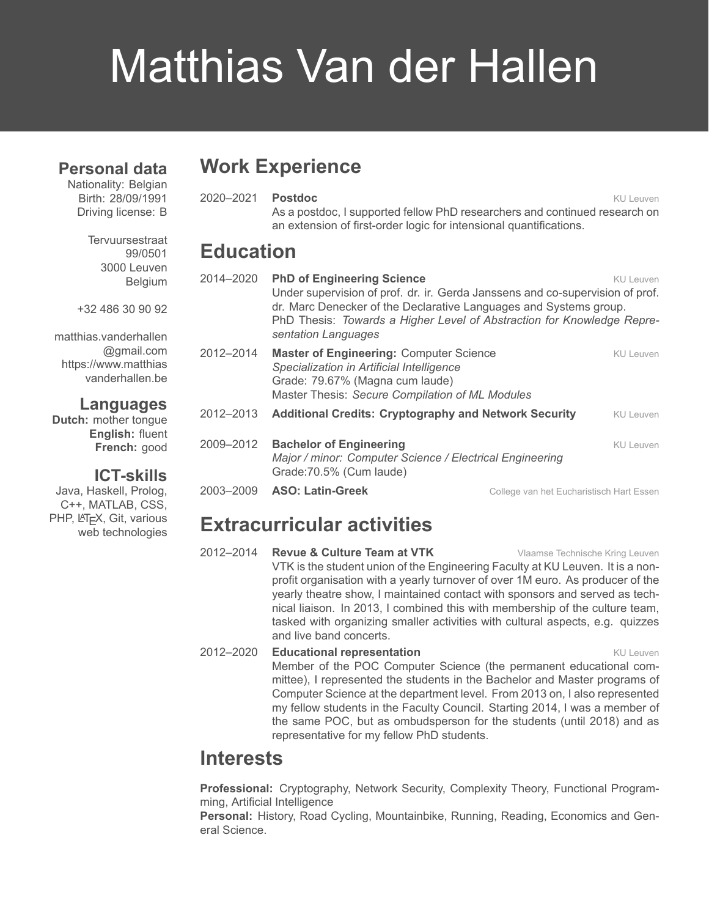# Matthias Van der Hallen

#### **Personal data**

Nationality: Belgian Birth: 28/09/1991 Driving license: B

> **Tervuursestraat** 99/0501 3000 Leuven Belgium

+32 486 30 90 92

[matthias.vanderhallen](mailto:matthias.vanderhallen@gmail.com) [@gmail.com](mailto:matthias.vanderhallen@gmail.com) [https://www.matthias](https://www.matthiasvanderhallen.be) [vanderhallen.be](https://www.matthiasvanderhallen.be)

#### **Languages**

**Dutch:** mother tongue **English:** fluent **French:** good

#### **ICT-skills**

Java, Haskell, Prolog, C++, MATLAB, CSS, PHP, LATEX, Git, various web technologies

# **Work Experience**

2020–2021 **Postdoc** KU Leuven As a postdoc, I supported fellow PhD researchers and continued research on an extension of first-order logic for intensional quantifications.

## **Education**

| 2014-2020 | <b>PhD of Engineering Science</b><br>KU Leuven<br>Under supervision of prof. dr. ir. Gerda Janssens and co-supervision of prof.<br>dr. Marc Denecker of the Declarative Languages and Systems group.<br>PhD Thesis: Towards a Higher Level of Abstraction for Knowledge Repre-<br>sentation Languages |                                          |           |
|-----------|-------------------------------------------------------------------------------------------------------------------------------------------------------------------------------------------------------------------------------------------------------------------------------------------------------|------------------------------------------|-----------|
| 2012-2014 | <b>Master of Engineering: Computer Science</b><br>Specialization in Artificial Intelligence<br>Grade: 79.67% (Magna cum laude)<br>Master Thesis: Secure Compilation of ML Modules                                                                                                                     |                                          | KU Leuven |
| 2012-2013 | <b>Additional Credits: Cryptography and Network Security</b>                                                                                                                                                                                                                                          |                                          | KU Leuven |
| 2009-2012 | <b>Bachelor of Engineering</b><br>Major / minor: Computer Science / Electrical Engineering<br>Grade: 70.5% (Cum laude)                                                                                                                                                                                |                                          | KU Leuven |
| 2003-2009 | <b>ASO: Latin-Greek</b>                                                                                                                                                                                                                                                                               | College van het Eucharistisch Hart Essen |           |

## **Extracurricular activities**

2012–2014 **Revue & Culture Team at VTK** Vlaamse Technische Kring Leuven VTK is the student union of the Engineering Faculty at KU Leuven. It is a nonprofit organisation with a yearly turnover of over 1M euro. As producer of the yearly theatre show, I maintained contact with sponsors and served as technical liaison. In 2013, I combined this with membership of the culture team, tasked with organizing smaller activities with cultural aspects, e.g. quizzes and live band concerts.

#### **2012–2020 Educational representation** Equation KU Leuven Member of the POC Computer Science (the permanent educational committee), I represented the students in the Bachelor and Master programs of Computer Science at the department level. From 2013 on, I also represented my fellow students in the Faculty Council. Starting 2014, I was a member of the same POC, but as ombudsperson for the students (until 2018) and as representative for my fellow PhD students.

# **Interests**

**Professional:** Cryptography, Network Security, Complexity Theory, Functional Programming, Artificial Intelligence

**Personal:** History, Road Cycling, Mountainbike, Running, Reading, Economics and General Science.